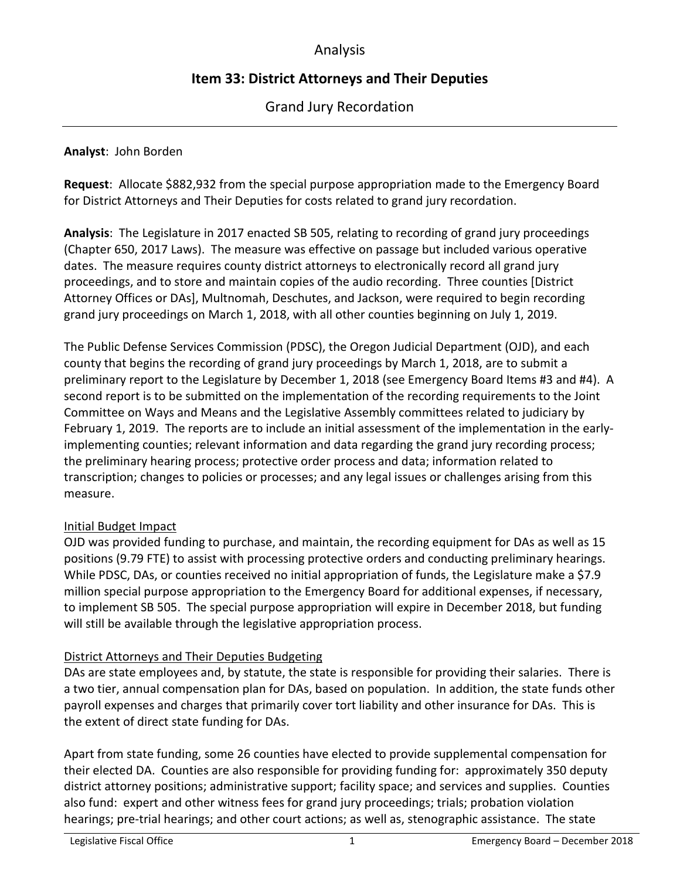# Analysis

# **Item 33: District Attorneys and Their Deputies**

Grand Jury Recordation

## **Analyst**: John Borden

**Request**: Allocate \$882,932 from the special purpose appropriation made to the Emergency Board for District Attorneys and Their Deputies for costs related to grand jury recordation.

**Analysis**: The Legislature in 2017 enacted SB 505, relating to recording of grand jury proceedings (Chapter 650, 2017 Laws). The measure was effective on passage but included various operative dates. The measure requires county district attorneys to electronically record all grand jury proceedings, and to store and maintain copies of the audio recording. Three counties [District Attorney Offices or DAs], Multnomah, Deschutes, and Jackson, were required to begin recording grand jury proceedings on March 1, 2018, with all other counties beginning on July 1, 2019.

The Public Defense Services Commission (PDSC), the Oregon Judicial Department (OJD), and each county that begins the recording of grand jury proceedings by March 1, 2018, are to submit a preliminary report to the Legislature by December 1, 2018 (see Emergency Board Items #3 and #4). A second report is to be submitted on the implementation of the recording requirements to the Joint Committee on Ways and Means and the Legislative Assembly committees related to judiciary by February 1, 2019. The reports are to include an initial assessment of the implementation in the earlyimplementing counties; relevant information and data regarding the grand jury recording process; the preliminary hearing process; protective order process and data; information related to transcription; changes to policies or processes; and any legal issues or challenges arising from this measure.

# Initial Budget Impact

OJD was provided funding to purchase, and maintain, the recording equipment for DAs as well as 15 positions (9.79 FTE) to assist with processing protective orders and conducting preliminary hearings. While PDSC, DAs, or counties received no initial appropriation of funds, the Legislature make a \$7.9 million special purpose appropriation to the Emergency Board for additional expenses, if necessary, to implement SB 505. The special purpose appropriation will expire in December 2018, but funding will still be available through the legislative appropriation process.

# District Attorneys and Their Deputies Budgeting

DAs are state employees and, by statute, the state is responsible for providing their salaries. There is a two tier, annual compensation plan for DAs, based on population. In addition, the state funds other payroll expenses and charges that primarily cover tort liability and other insurance for DAs. This is the extent of direct state funding for DAs.

Apart from state funding, some 26 counties have elected to provide supplemental compensation for their elected DA. Counties are also responsible for providing funding for: approximately 350 deputy district attorney positions; administrative support; facility space; and services and supplies. Counties also fund: expert and other witness fees for grand jury proceedings; trials; probation violation hearings; pre-trial hearings; and other court actions; as well as, stenographic assistance. The state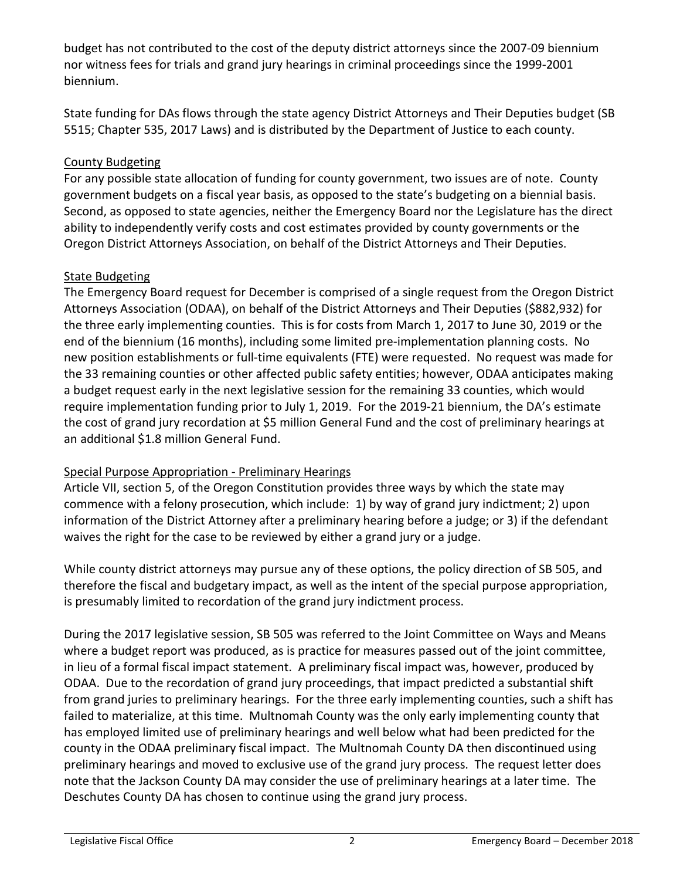budget has not contributed to the cost of the deputy district attorneys since the 2007-09 biennium nor witness fees for trials and grand jury hearings in criminal proceedings since the 1999-2001 biennium.

State funding for DAs flows through the state agency District Attorneys and Their Deputies budget (SB 5515; Chapter 535, 2017 Laws) and is distributed by the Department of Justice to each county.

# County Budgeting

For any possible state allocation of funding for county government, two issues are of note. County government budgets on a fiscal year basis, as opposed to the state's budgeting on a biennial basis. Second, as opposed to state agencies, neither the Emergency Board nor the Legislature has the direct ability to independently verify costs and cost estimates provided by county governments or the Oregon District Attorneys Association, on behalf of the District Attorneys and Their Deputies.

# State Budgeting

The Emergency Board request for December is comprised of a single request from the Oregon District Attorneys Association (ODAA), on behalf of the District Attorneys and Their Deputies (\$882,932) for the three early implementing counties. This is for costs from March 1, 2017 to June 30, 2019 or the end of the biennium (16 months), including some limited pre-implementation planning costs. No new position establishments or full-time equivalents (FTE) were requested. No request was made for the 33 remaining counties or other affected public safety entities; however, ODAA anticipates making a budget request early in the next legislative session for the remaining 33 counties, which would require implementation funding prior to July 1, 2019. For the 2019-21 biennium, the DA's estimate the cost of grand jury recordation at \$5 million General Fund and the cost of preliminary hearings at an additional \$1.8 million General Fund.

# Special Purpose Appropriation - Preliminary Hearings

Article VII, section 5, of the Oregon Constitution provides three ways by which the state may commence with a felony prosecution, which include: 1) by way of grand jury indictment; 2) upon information of the District Attorney after a preliminary hearing before a judge; or 3) if the defendant waives the right for the case to be reviewed by either a grand jury or a judge.

While county district attorneys may pursue any of these options, the policy direction of SB 505, and therefore the fiscal and budgetary impact, as well as the intent of the special purpose appropriation, is presumably limited to recordation of the grand jury indictment process.

During the 2017 legislative session, SB 505 was referred to the Joint Committee on Ways and Means where a budget report was produced, as is practice for measures passed out of the joint committee, in lieu of a formal fiscal impact statement. A preliminary fiscal impact was, however, produced by ODAA. Due to the recordation of grand jury proceedings, that impact predicted a substantial shift from grand juries to preliminary hearings. For the three early implementing counties, such a shift has failed to materialize, at this time. Multnomah County was the only early implementing county that has employed limited use of preliminary hearings and well below what had been predicted for the county in the ODAA preliminary fiscal impact. The Multnomah County DA then discontinued using preliminary hearings and moved to exclusive use of the grand jury process. The request letter does note that the Jackson County DA may consider the use of preliminary hearings at a later time. The Deschutes County DA has chosen to continue using the grand jury process.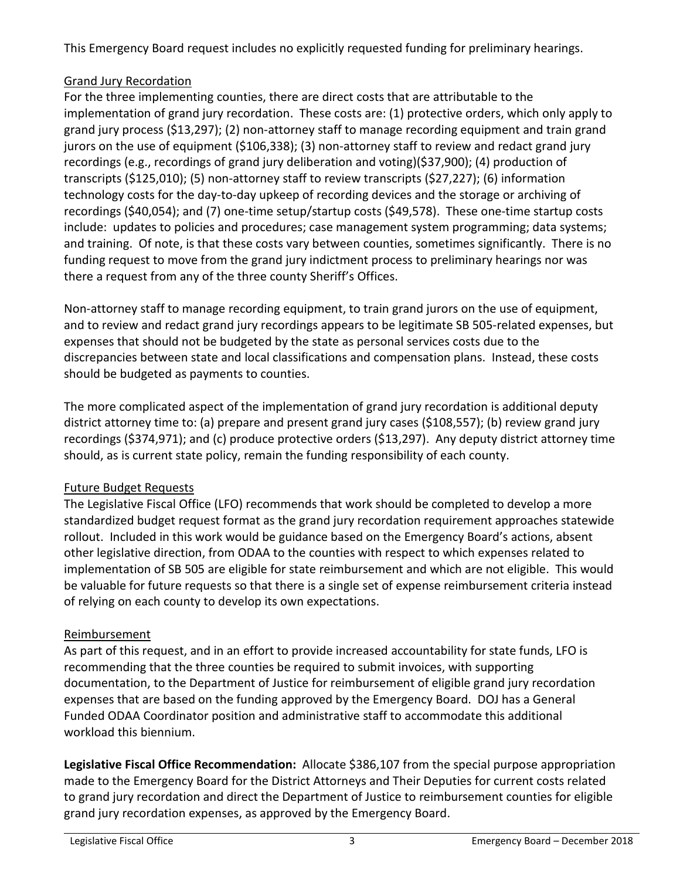This Emergency Board request includes no explicitly requested funding for preliminary hearings.

# Grand Jury Recordation

For the three implementing counties, there are direct costs that are attributable to the implementation of grand jury recordation. These costs are: (1) protective orders, which only apply to grand jury process (\$13,297); (2) non-attorney staff to manage recording equipment and train grand jurors on the use of equipment (\$106,338); (3) non-attorney staff to review and redact grand jury recordings (e.g., recordings of grand jury deliberation and voting)(\$37,900); (4) production of transcripts (\$125,010); (5) non-attorney staff to review transcripts (\$27,227); (6) information technology costs for the day-to-day upkeep of recording devices and the storage or archiving of recordings (\$40,054); and (7) one-time setup/startup costs (\$49,578). These one-time startup costs include: updates to policies and procedures; case management system programming; data systems; and training. Of note, is that these costs vary between counties, sometimes significantly. There is no funding request to move from the grand jury indictment process to preliminary hearings nor was there a request from any of the three county Sheriff's Offices.

Non-attorney staff to manage recording equipment, to train grand jurors on the use of equipment, and to review and redact grand jury recordings appears to be legitimate SB 505-related expenses, but expenses that should not be budgeted by the state as personal services costs due to the discrepancies between state and local classifications and compensation plans. Instead, these costs should be budgeted as payments to counties.

The more complicated aspect of the implementation of grand jury recordation is additional deputy district attorney time to: (a) prepare and present grand jury cases (\$108,557); (b) review grand jury recordings (\$374,971); and (c) produce protective orders (\$13,297). Any deputy district attorney time should, as is current state policy, remain the funding responsibility of each county.

# Future Budget Requests

The Legislative Fiscal Office (LFO) recommends that work should be completed to develop a more standardized budget request format as the grand jury recordation requirement approaches statewide rollout. Included in this work would be guidance based on the Emergency Board's actions, absent other legislative direction, from ODAA to the counties with respect to which expenses related to implementation of SB 505 are eligible for state reimbursement and which are not eligible. This would be valuable for future requests so that there is a single set of expense reimbursement criteria instead of relying on each county to develop its own expectations.

# Reimbursement

As part of this request, and in an effort to provide increased accountability for state funds, LFO is recommending that the three counties be required to submit invoices, with supporting documentation, to the Department of Justice for reimbursement of eligible grand jury recordation expenses that are based on the funding approved by the Emergency Board. DOJ has a General Funded ODAA Coordinator position and administrative staff to accommodate this additional workload this biennium.

**Legislative Fiscal Office Recommendation:** Allocate \$386,107 from the special purpose appropriation made to the Emergency Board for the District Attorneys and Their Deputies for current costs related to grand jury recordation and direct the Department of Justice to reimbursement counties for eligible grand jury recordation expenses, as approved by the Emergency Board.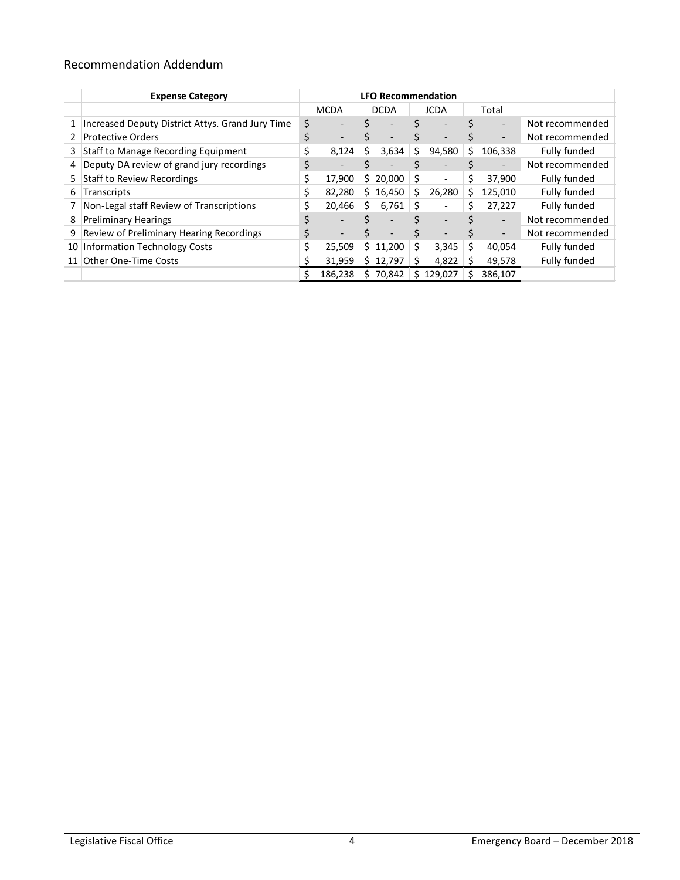# Recommendation Addendum

|    | <b>Expense Category</b>                          |             | <b>LFO Recommendation</b> |             |                          |             |                          |       |                          |                 |
|----|--------------------------------------------------|-------------|---------------------------|-------------|--------------------------|-------------|--------------------------|-------|--------------------------|-----------------|
|    |                                                  | <b>MCDA</b> |                           | <b>DCDA</b> |                          | <b>JCDA</b> |                          | Total |                          |                 |
| 1  | Increased Deputy District Attys. Grand Jury Time | \$          |                           |             | $\overline{\phantom{0}}$ |             |                          |       | $\overline{\phantom{a}}$ | Not recommended |
| 2  | <b>Protective Orders</b>                         | \$          |                           |             | $\qquad \qquad$          | S           |                          |       | $\overline{\phantom{a}}$ | Not recommended |
| 3  | Staff to Manage Recording Equipment              | \$          | 8,124                     | S           | 3,634                    | S           | 94,580                   | \$    | 106,338                  | Fully funded    |
| 4  | Deputy DA review of grand jury recordings        | \$          |                           |             |                          |             |                          |       | $\overline{\phantom{0}}$ | Not recommended |
| 5  | <b>Staff to Review Recordings</b>                |             | 17,900                    |             | \$20,000                 | \$          | $\overline{\phantom{a}}$ | \$    | 37,900                   | Fully funded    |
| 6  | Transcripts                                      | \$          | 82.280                    | Ś.          | 16,450                   | S           | 26,280                   | Ś     | 125,010                  | Fully funded    |
|    | Non-Legal staff Review of Transcriptions         |             | 20.466                    | \$          | 6,761                    | S           |                          | Ś     | 27,227                   | Fully funded    |
| 8  | <b>Preliminary Hearings</b>                      | \$          |                           |             | $\overline{\phantom{0}}$ |             | $\overline{\phantom{a}}$ |       | $\overline{\phantom{a}}$ | Not recommended |
| 9  | Review of Preliminary Hearing Recordings         | \$          |                           |             | $\qquad \qquad$          | Ś           |                          |       | $\overline{\phantom{a}}$ | Not recommended |
| 10 | <b>Information Technology Costs</b>              | \$          | 25.509                    | \$.         | 11,200                   | Ś           | 3,345                    | Ś     | 40,054                   | Fully funded    |
|    | 11 Other One-Time Costs                          |             | 31,959                    | S.          | 12,797                   | Ś           | 4,822                    |       | 49,578                   | Fully funded    |
|    |                                                  |             | 186.238                   | S           | 70.842                   | S           | 129.027                  | s     | 386,107                  |                 |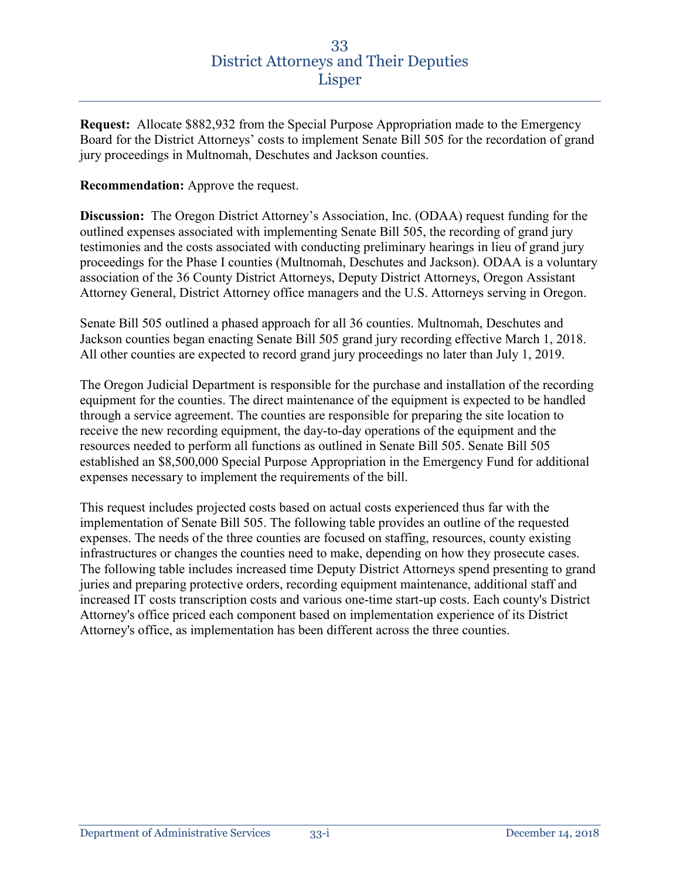**Request:** Allocate \$882,932 from the Special Purpose Appropriation made to the Emergency Board for the District Attorneys' costs to implement Senate Bill 505 for the recordation of grand jury proceedings in Multnomah, Deschutes and Jackson counties.

## **Recommendation:** Approve the request.

**Discussion:** The Oregon District Attorney's Association, Inc. (ODAA) request funding for the outlined expenses associated with implementing Senate Bill 505, the recording of grand jury testimonies and the costs associated with conducting preliminary hearings in lieu of grand jury proceedings for the Phase I counties (Multnomah, Deschutes and Jackson). ODAA is a voluntary association of the 36 County District Attorneys, Deputy District Attorneys, Oregon Assistant Attorney General, District Attorney office managers and the U.S. Attorneys serving in Oregon.

Senate Bill 505 outlined a phased approach for all 36 counties. Multnomah, Deschutes and Jackson counties began enacting Senate Bill 505 grand jury recording effective March 1, 2018. All other counties are expected to record grand jury proceedings no later than July 1, 2019.

The Oregon Judicial Department is responsible for the purchase and installation of the recording equipment for the counties. The direct maintenance of the equipment is expected to be handled through a service agreement. The counties are responsible for preparing the site location to receive the new recording equipment, the day-to-day operations of the equipment and the resources needed to perform all functions as outlined in Senate Bill 505. Senate Bill 505 established an \$8,500,000 Special Purpose Appropriation in the Emergency Fund for additional expenses necessary to implement the requirements of the bill.

This request includes projected costs based on actual costs experienced thus far with the implementation of Senate Bill 505. The following table provides an outline of the requested expenses. The needs of the three counties are focused on staffing, resources, county existing infrastructures or changes the counties need to make, depending on how they prosecute cases. The following table includes increased time Deputy District Attorneys spend presenting to grand juries and preparing protective orders, recording equipment maintenance, additional staff and increased IT costs transcription costs and various one-time start-up costs. Each county's District Attorney's office priced each component based on implementation experience of its District Attorney's office, as implementation has been different across the three counties.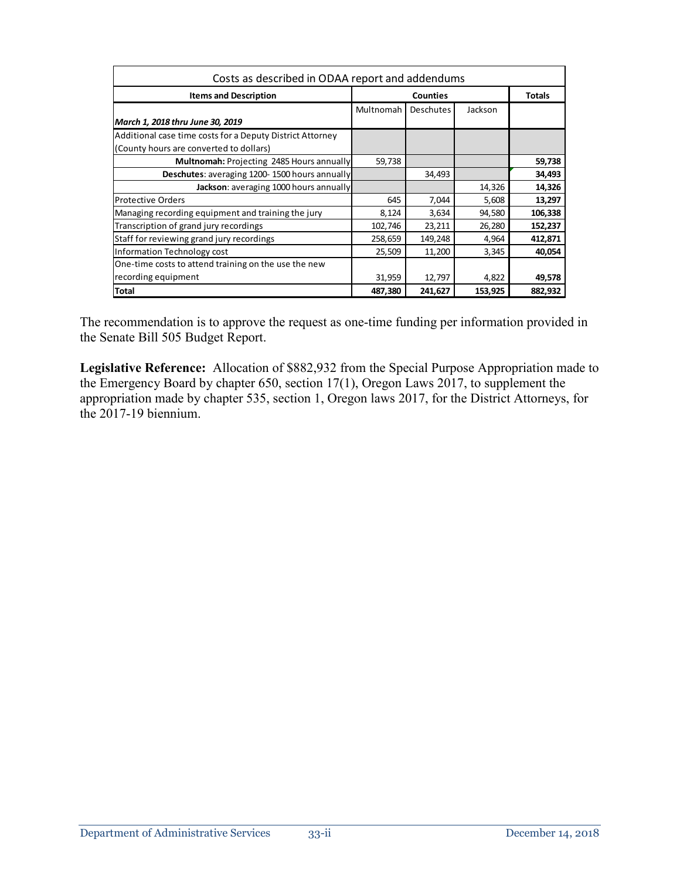| Costs as described in ODAA report and addendums           |           |                 |         |         |  |  |
|-----------------------------------------------------------|-----------|-----------------|---------|---------|--|--|
| <b>Items and Description</b>                              |           | <b>Counties</b> |         |         |  |  |
|                                                           | Multnomah | Deschutes       | Jackson |         |  |  |
| March 1, 2018 thru June 30, 2019                          |           |                 |         |         |  |  |
| Additional case time costs for a Deputy District Attorney |           |                 |         |         |  |  |
| (County hours are converted to dollars)                   |           |                 |         |         |  |  |
| Multnomah: Projecting 2485 Hours annually                 | 59,738    |                 |         | 59,738  |  |  |
| Deschutes: averaging 1200-1500 hours annually             |           | 34,493          |         | 34,493  |  |  |
| Jackson: averaging 1000 hours annually                    |           |                 | 14,326  | 14,326  |  |  |
| <b>Protective Orders</b>                                  | 645       | 7,044           | 5,608   | 13,297  |  |  |
| Managing recording equipment and training the jury        | 8,124     | 3,634           | 94,580  | 106,338 |  |  |
| Transcription of grand jury recordings                    | 102,746   | 23,211          | 26,280  | 152,237 |  |  |
| Staff for reviewing grand jury recordings                 | 258,659   | 149,248         | 4,964   | 412,871 |  |  |
| Information Technology cost                               | 25,509    | 11,200          | 3,345   | 40,054  |  |  |
| One-time costs to attend training on the use the new      |           |                 |         |         |  |  |
| recording equipment                                       | 31,959    | 12,797          | 4,822   | 49,578  |  |  |
| <b>Total</b>                                              | 487,380   | 241,627         | 153,925 | 882,932 |  |  |

The recommendation is to approve the request as one-time funding per information provided in the Senate Bill 505 Budget Report.

**Legislative Reference:** Allocation of \$882,932 from the Special Purpose Appropriation made to the Emergency Board by chapter 650, section 17(1), Oregon Laws 2017, to supplement the appropriation made by chapter 535, section 1, Oregon laws 2017, for the District Attorneys, for the 2017-19 biennium.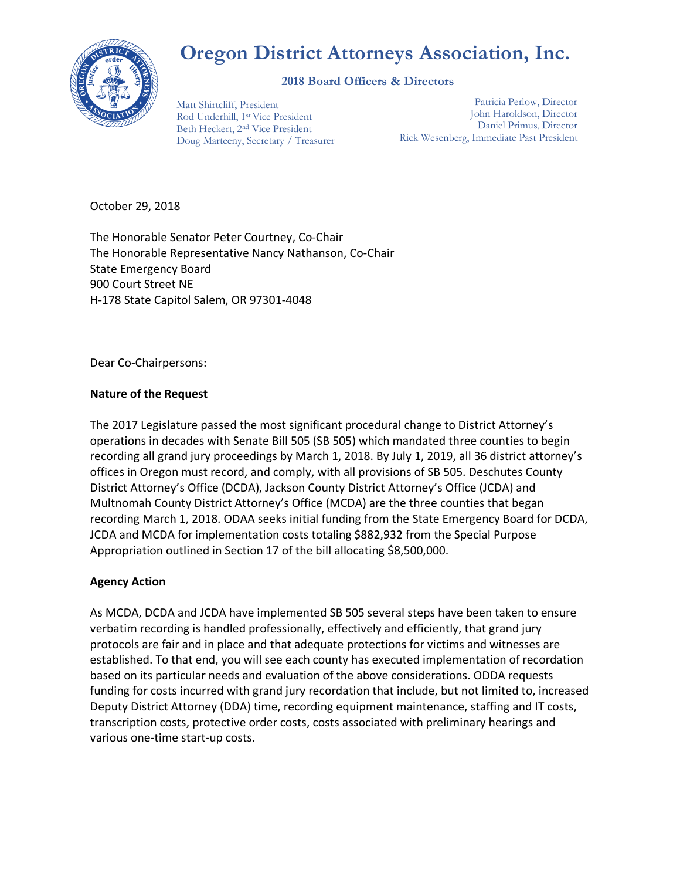# **Oregon District Attorneys Association, Inc.**



#### **2018 Board Officers & Directors**

Matt Shirtcliff, President Rod Underhill, 1st Vice President Beth Heckert, 2nd Vice President Doug Marteeny, Secretary / Treasurer

Patricia Perlow, Director John Haroldson, Director Daniel Primus, Director Rick Wesenberg, Immediate Past President

October 29, 2018

The Honorable Senator Peter Courtney, Co-Chair The Honorable Representative Nancy Nathanson, Co-Chair State Emergency Board 900 Court Street NE H-178 State Capitol Salem, OR 97301-4048

Dear Co-Chairpersons:

## **Nature of the Request**

The 2017 Legislature passed the most significant procedural change to District Attorney's operations in decades with Senate Bill 505 (SB 505) which mandated three counties to begin recording all grand jury proceedings by March 1, 2018. By July 1, 2019, all 36 district attorney's offices in Oregon must record, and comply, with all provisions of SB 505. Deschutes County District Attorney's Office (DCDA), Jackson County District Attorney's Office (JCDA) and Multnomah County District Attorney's Office (MCDA) are the three counties that began recording March 1, 2018. ODAA seeks initial funding from the State Emergency Board for DCDA, JCDA and MCDA for implementation costs totaling \$882,932 from the Special Purpose Appropriation outlined in Section 17 of the bill allocating \$8,500,000.

## **Agency Action**

As MCDA, DCDA and JCDA have implemented SB 505 several steps have been taken to ensure verbatim recording is handled professionally, effectively and efficiently, that grand jury protocols are fair and in place and that adequate protections for victims and witnesses are established. To that end, you will see each county has executed implementation of recordation based on its particular needs and evaluation of the above considerations. ODDA requests funding for costs incurred with grand jury recordation that include, but not limited to, increased Deputy District Attorney (DDA) time, recording equipment maintenance, staffing and IT costs, transcription costs, protective order costs, costs associated with preliminary hearings and various one-time start-up costs.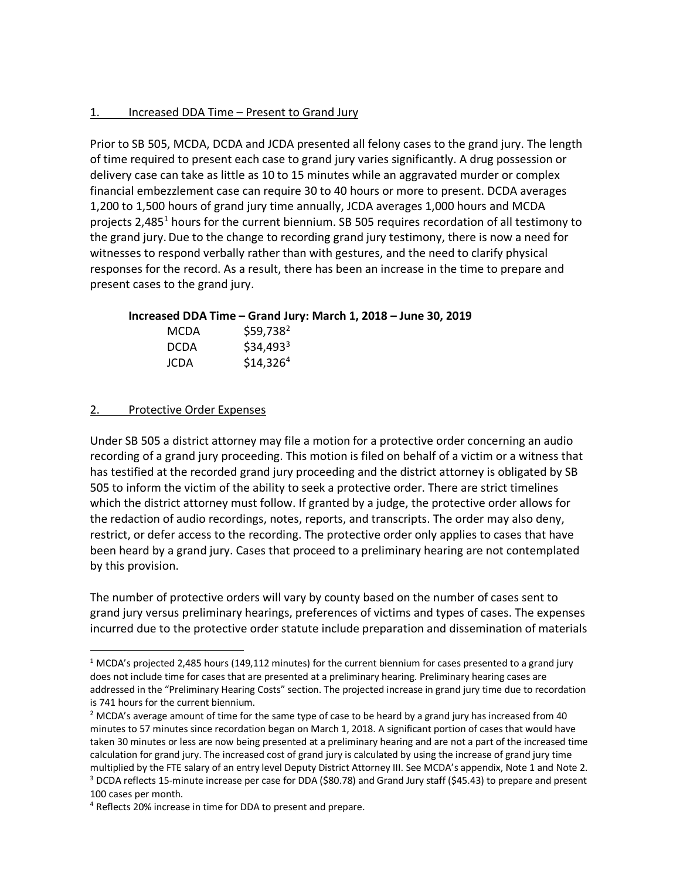#### 1. Increased DDA Time – Present to Grand Jury

Prior to SB 505, MCDA, DCDA and JCDA presented all felony cases to the grand jury. The length of time required to present each case to grand jury varies significantly. A drug possession or delivery case can take as little as 10 to 15 minutes while an aggravated murder or complex financial embezzlement case can require 30 to 40 hours or more to present. DCDA averages 1,200 to 1,500 hours of grand jury time annually, JCDA averages 1,000 hours and MCDA projects 2,485<sup>1</sup> hours for the current biennium. SB 505 requires recordation of all testimony to the grand jury.Due to the change to recording grand jury testimony, there is now a need for witnesses to respond verbally rather than with gestures, and the need to clarify physical responses for the record. As a result, there has been an increase in the time to prepare and present cases to the grand jury.

**Increased DDA Time – Grand Jury: March 1, 2018 – June 30, 2019**

| MCDA        | \$59,738 <sup>2</sup> |
|-------------|-----------------------|
| <b>DCDA</b> | $$34,493^3$           |
| JCDA        | $$14,326^4$           |

## 2. Protective Order Expenses

Under SB 505 a district attorney may file a motion for a protective order concerning an audio recording of a grand jury proceeding. This motion is filed on behalf of a victim or a witness that has testified at the recorded grand jury proceeding and the district attorney is obligated by SB 505 to inform the victim of the ability to seek a protective order. There are strict timelines which the district attorney must follow. If granted by a judge, the protective order allows for the redaction of audio recordings, notes, reports, and transcripts. The order may also deny, restrict, or defer access to the recording. The protective order only applies to cases that have been heard by a grand jury. Cases that proceed to a preliminary hearing are not contemplated by this provision.

The number of protective orders will vary by county based on the number of cases sent to grand jury versus preliminary hearings, preferences of victims and types of cases. The expenses incurred due to the protective order statute include preparation and dissemination of materials

 $1$  MCDA's projected 2,485 hours (149,112 minutes) for the current biennium for cases presented to a grand jury does not include time for cases that are presented at a preliminary hearing. Preliminary hearing cases are addressed in the "Preliminary Hearing Costs" section. The projected increase in grand jury time due to recordation is 741 hours for the current biennium.

 $2$  MCDA's average amount of time for the same type of case to be heard by a grand jury has increased from 40 minutes to 57 minutes since recordation began on March 1, 2018. A significant portion of cases that would have taken 30 minutes or less are now being presented at a preliminary hearing and are not a part of the increased time calculation for grand jury. The increased cost of grand jury is calculated by using the increase of grand jury time multiplied by the FTE salary of an entry level Deputy District Attorney III. See MCDA's appendix, Note 1 and Note 2. <sup>3</sup> DCDA reflects 15-minute increase per case for DDA (\$80.78) and Grand Jury staff (\$45.43) to prepare and present 100 cases per month.

<sup>&</sup>lt;sup>4</sup> Reflects 20% increase in time for DDA to present and prepare.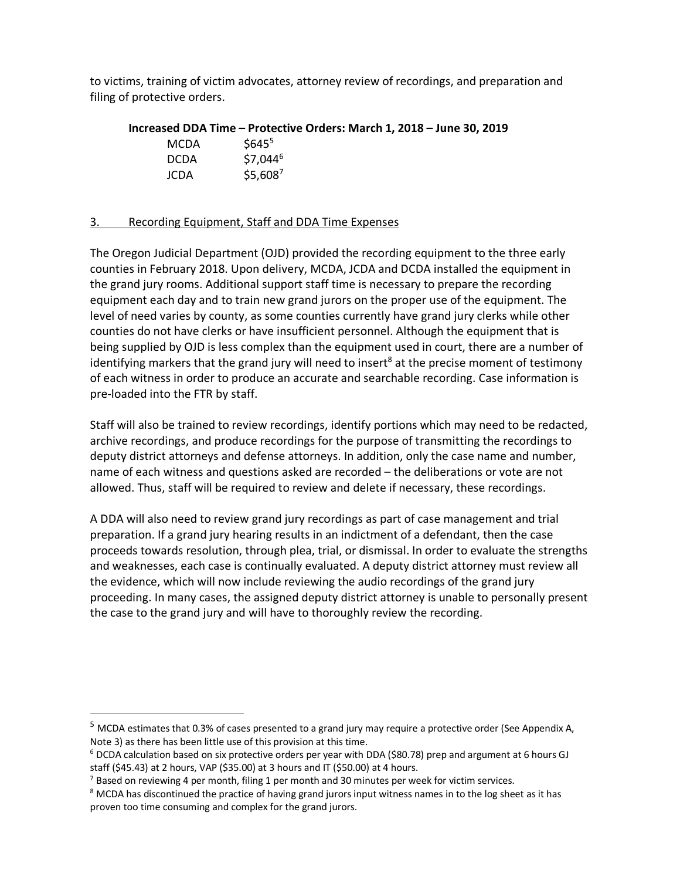to victims, training of victim advocates, attorney review of recordings, and preparation and filing of protective orders.

| Increased DDA Time - Protective Orders: March 1, 2018 - June 30, 2019 |                       |  |  |  |  |
|-----------------------------------------------------------------------|-----------------------|--|--|--|--|
| MCDA.                                                                 | $$645^{\circ}$$       |  |  |  |  |
| <b>DCDA</b>                                                           | $$7.044^6$            |  |  |  |  |
| JCDA                                                                  | $$5,608$ <sup>7</sup> |  |  |  |  |

## 3. Recording Equipment, Staff and DDA Time Expenses

The Oregon Judicial Department (OJD) provided the recording equipment to the three early counties in February 2018. Upon delivery, MCDA, JCDA and DCDA installed the equipment in the grand jury rooms. Additional support staff time is necessary to prepare the recording equipment each day and to train new grand jurors on the proper use of the equipment. The level of need varies by county, as some counties currently have grand jury clerks while other counties do not have clerks or have insufficient personnel. Although the equipment that is being supplied by OJD is less complex than the equipment used in court, there are a number of identifying markers that the grand jury will need to insert<sup>8</sup> at the precise moment of testimony of each witness in order to produce an accurate and searchable recording. Case information is pre-loaded into the FTR by staff.

Staff will also be trained to review recordings, identify portions which may need to be redacted, archive recordings, and produce recordings for the purpose of transmitting the recordings to deputy district attorneys and defense attorneys. In addition, only the case name and number, name of each witness and questions asked are recorded – the deliberations or vote are not allowed. Thus, staff will be required to review and delete if necessary, these recordings.

A DDA will also need to review grand jury recordings as part of case management and trial preparation. If a grand jury hearing results in an indictment of a defendant, then the case proceeds towards resolution, through plea, trial, or dismissal. In order to evaluate the strengths and weaknesses, each case is continually evaluated. A deputy district attorney must review all the evidence, which will now include reviewing the audio recordings of the grand jury proceeding. In many cases, the assigned deputy district attorney is unable to personally present the case to the grand jury and will have to thoroughly review the recording.

 <sup>5</sup> MCDA estimates that 0.3% of cases presented to a grand jury may require a protective order (See Appendix A, Note 3) as there has been little use of this provision at this time.

<sup>6</sup> DCDA calculation based on six protective orders per year with DDA (\$80.78) prep and argument at 6 hours GJ staff (\$45.43) at 2 hours, VAP (\$35.00) at 3 hours and IT (\$50.00) at 4 hours.

 $<sup>7</sup>$  Based on reviewing 4 per month, filing 1 per month and 30 minutes per week for victim services.</sup>

<sup>&</sup>lt;sup>8</sup> MCDA has discontinued the practice of having grand jurors input witness names in to the log sheet as it has proven too time consuming and complex for the grand jurors.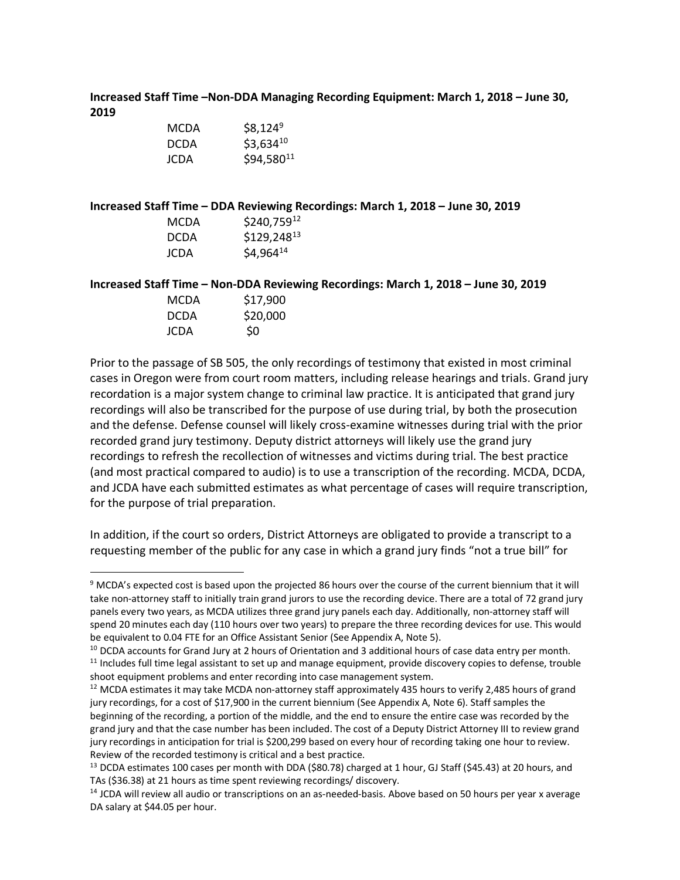**Increased Staff Time –Non-DDA Managing Recording Equipment: March 1, 2018 – June 30, 2019**

| MCDA        | $$8,124^9$     |
|-------------|----------------|
| <b>DCDA</b> | $$3,634^{10}$  |
| JCDA        | $$94,580^{11}$ |

**Increased Staff Time – DDA Reviewing Recordings: March 1, 2018 – June 30, 2019**

| MCDA        | $$240,759^{12}$ |
|-------------|-----------------|
| <b>DCDA</b> | \$129,24813     |
| JCDA        | $$4,964^{14}$   |

**Increased Staff Time – Non-DDA Reviewing Recordings: March 1, 2018 – June 30, 2019**

| MCDA        | \$17,900 |
|-------------|----------|
| <b>DCDA</b> | \$20,000 |
| JCDA        | \$0      |

Prior to the passage of SB 505, the only recordings of testimony that existed in most criminal cases in Oregon were from court room matters, including release hearings and trials. Grand jury recordation is a major system change to criminal law practice. It is anticipated that grand jury recordings will also be transcribed for the purpose of use during trial, by both the prosecution and the defense. Defense counsel will likely cross-examine witnesses during trial with the prior recorded grand jury testimony. Deputy district attorneys will likely use the grand jury recordings to refresh the recollection of witnesses and victims during trial. The best practice (and most practical compared to audio) is to use a transcription of the recording. MCDA, DCDA, and JCDA have each submitted estimates as what percentage of cases will require transcription, for the purpose of trial preparation.

In addition, if the court so orders, District Attorneys are obligated to provide a transcript to a requesting member of the public for any case in which a grand jury finds "not a true bill" for

 $12$  MCDA estimates it may take MCDA non-attorney staff approximately 435 hours to verify 2,485 hours of grand jury recordings, for a cost of \$17,900 in the current biennium (See Appendix A, Note 6). Staff samples the beginning of the recording, a portion of the middle, and the end to ensure the entire case was recorded by the grand jury and that the case number has been included. The cost of a Deputy District Attorney III to review grand jury recordings in anticipation for trial is \$200,299 based on every hour of recording taking one hour to review. Review of the recorded testimony is critical and a best practice.

<sup>&</sup>lt;sup>9</sup> MCDA's expected cost is based upon the projected 86 hours over the course of the current biennium that it will take non-attorney staff to initially train grand jurors to use the recording device. There are a total of 72 grand jury panels every two years, as MCDA utilizes three grand jury panels each day. Additionally, non-attorney staff will spend 20 minutes each day (110 hours over two years) to prepare the three recording devices for use. This would be equivalent to 0.04 FTE for an Office Assistant Senior (See Appendix A, Note 5).

 $10$  DCDA accounts for Grand Jury at 2 hours of Orientation and 3 additional hours of case data entry per month.  $11$  Includes full time legal assistant to set up and manage equipment, provide discovery copies to defense, trouble shoot equipment problems and enter recording into case management system.

<sup>&</sup>lt;sup>13</sup> DCDA estimates 100 cases per month with DDA (\$80.78) charged at 1 hour, GJ Staff (\$45.43) at 20 hours, and TAs (\$36.38) at 21 hours as time spent reviewing recordings/ discovery.

<sup>&</sup>lt;sup>14</sup> JCDA will review all audio or transcriptions on an as-needed-basis. Above based on 50 hours per year x average DA salary at \$44.05 per hour.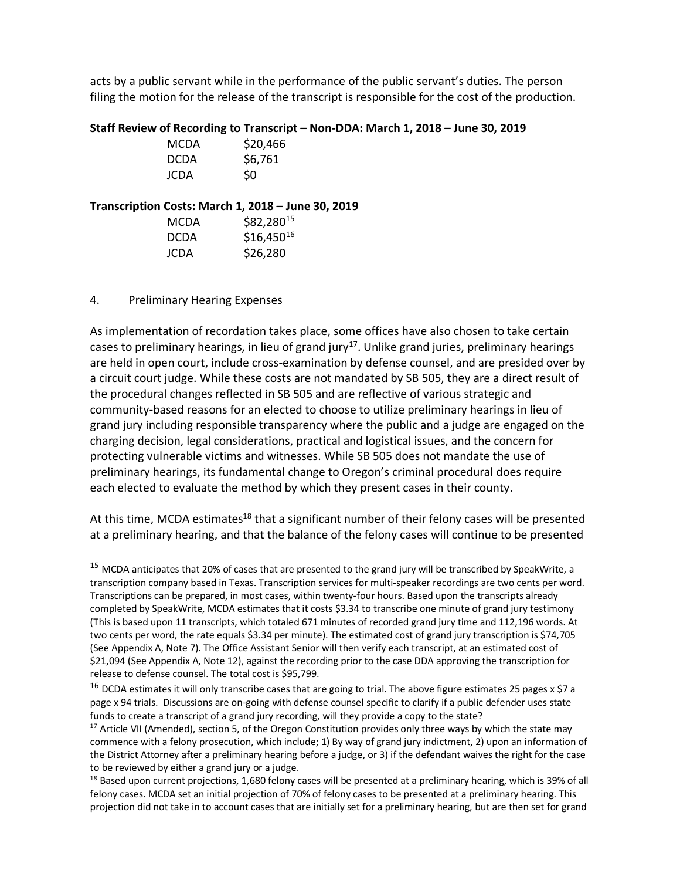acts by a public servant while in the performance of the public servant's duties. The person filing the motion for the release of the transcript is responsible for the cost of the production.

## **Staff Review of Recording to Transcript – Non-DDA: March 1, 2018 – June 30, 2019**

| MCDA        | \$20,466 |
|-------------|----------|
| <b>DCDA</b> | \$6,761  |
| JCDA        | \$0      |

## **Transcription Costs: March 1, 2018 – June 30, 2019**

| MCDA        | \$82,28015     |
|-------------|----------------|
| <b>DCDA</b> | $$16,450^{16}$ |
| JCDA        | \$26,280       |

## 4. Preliminary Hearing Expenses

As implementation of recordation takes place, some offices have also chosen to take certain cases to preliminary hearings, in lieu of grand jury<sup>17</sup>. Unlike grand juries, preliminary hearings are held in open court, include cross-examination by defense counsel, and are presided over by a circuit court judge. While these costs are not mandated by SB 505, they are a direct result of the procedural changes reflected in SB 505 and are reflective of various strategic and community-based reasons for an elected to choose to utilize preliminary hearings in lieu of grand jury including responsible transparency where the public and a judge are engaged on the charging decision, legal considerations, practical and logistical issues, and the concern for protecting vulnerable victims and witnesses. While SB 505 does not mandate the use of preliminary hearings, its fundamental change to Oregon's criminal procedural does require each elected to evaluate the method by which they present cases in their county.

At this time, MCDA estimates<sup>18</sup> that a significant number of their felony cases will be presented at a preliminary hearing, and that the balance of the felony cases will continue to be presented

<sup>&</sup>lt;sup>15</sup> MCDA anticipates that 20% of cases that are presented to the grand jury will be transcribed by SpeakWrite, a transcription company based in Texas. Transcription services for multi-speaker recordings are two cents per word. Transcriptions can be prepared, in most cases, within twenty-four hours. Based upon the transcripts already completed by SpeakWrite, MCDA estimates that it costs \$3.34 to transcribe one minute of grand jury testimony (This is based upon 11 transcripts, which totaled 671 minutes of recorded grand jury time and 112,196 words. At two cents per word, the rate equals \$3.34 per minute). The estimated cost of grand jury transcription is \$74,705 (See Appendix A, Note 7). The Office Assistant Senior will then verify each transcript, at an estimated cost of \$21,094 (See Appendix A, Note 12), against the recording prior to the case DDA approving the transcription for release to defense counsel. The total cost is \$95,799.

 $16$  DCDA estimates it will only transcribe cases that are going to trial. The above figure estimates 25 pages x \$7 a page x 94 trials. Discussions are on-going with defense counsel specific to clarify if a public defender uses state funds to create a transcript of a grand jury recording, will they provide a copy to the state?<br><sup>17</sup> Article VII (Amended), section 5, of the Oregon Constitution provides only three ways by which the state may

commence with a felony prosecution, which include; 1) By way of grand jury indictment, 2) upon an information of the District Attorney after a preliminary hearing before a judge, or 3) if the defendant waives the right for the case to be reviewed by either a grand jury or a judge.

 $18$  Based upon current projections, 1,680 felony cases will be presented at a preliminary hearing, which is 39% of all felony cases. MCDA set an initial projection of 70% of felony cases to be presented at a preliminary hearing. This projection did not take in to account cases that are initially set for a preliminary hearing, but are then set for grand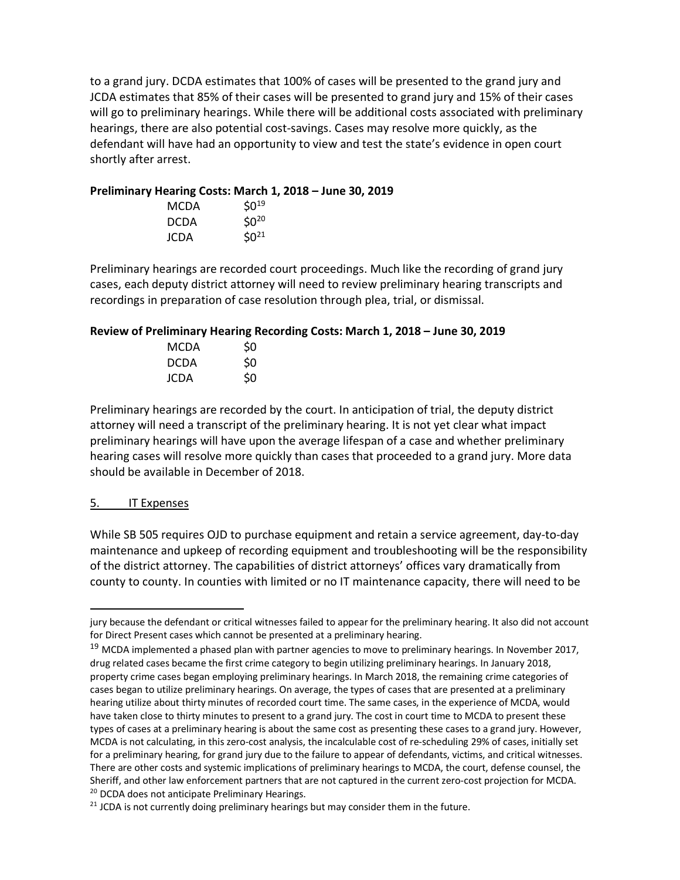to a grand jury. DCDA estimates that 100% of cases will be presented to the grand jury and JCDA estimates that 85% of their cases will be presented to grand jury and 15% of their cases will go to preliminary hearings. While there will be additional costs associated with preliminary hearings, there are also potential cost-savings. Cases may resolve more quickly, as the defendant will have had an opportunity to view and test the state's evidence in open court shortly after arrest.

## **Preliminary Hearing Costs: March 1, 2018 – June 30, 2019**

| MCDA        | $$0^{19}$ |
|-------------|-----------|
| <b>DCDA</b> | $$0^{20}$ |
| JCDA        | $50^{21}$ |

Preliminary hearings are recorded court proceedings. Much like the recording of grand jury cases, each deputy district attorney will need to review preliminary hearing transcripts and recordings in preparation of case resolution through plea, trial, or dismissal.

#### **Review of Preliminary Hearing Recording Costs: March 1, 2018 – June 30, 2019**

| MCDA | \$0            |
|------|----------------|
| DCDA | S <sub>0</sub> |
| JCDA | \$0            |

Preliminary hearings are recorded by the court. In anticipation of trial, the deputy district attorney will need a transcript of the preliminary hearing. It is not yet clear what impact preliminary hearings will have upon the average lifespan of a case and whether preliminary hearing cases will resolve more quickly than cases that proceeded to a grand jury. More data should be available in December of 2018.

#### 5. IT Expenses

While SB 505 requires OJD to purchase equipment and retain a service agreement, day-to-day maintenance and upkeep of recording equipment and troubleshooting will be the responsibility of the district attorney. The capabilities of district attorneys' offices vary dramatically from county to county. In counties with limited or no IT maintenance capacity, there will need to be

jury because the defendant or critical witnesses failed to appear for the preliminary hearing. It also did not account for Direct Present cases which cannot be presented at a preliminary hearing.

 $19$  MCDA implemented a phased plan with partner agencies to move to preliminary hearings. In November 2017, drug related cases became the first crime category to begin utilizing preliminary hearings. In January 2018, property crime cases began employing preliminary hearings. In March 2018, the remaining crime categories of cases began to utilize preliminary hearings. On average, the types of cases that are presented at a preliminary hearing utilize about thirty minutes of recorded court time. The same cases, in the experience of MCDA, would have taken close to thirty minutes to present to a grand jury. The cost in court time to MCDA to present these types of cases at a preliminary hearing is about the same cost as presenting these cases to a grand jury. However, MCDA is not calculating, in this zero-cost analysis, the incalculable cost of re-scheduling 29% of cases, initially set for a preliminary hearing, for grand jury due to the failure to appear of defendants, victims, and critical witnesses. There are other costs and systemic implications of preliminary hearings to MCDA, the court, defense counsel, the Sheriff, and other law enforcement partners that are not captured in the current zero-cost projection for MCDA. <sup>20</sup> DCDA does not anticipate Preliminary Hearings.

<sup>&</sup>lt;sup>21</sup> JCDA is not currently doing preliminary hearings but may consider them in the future.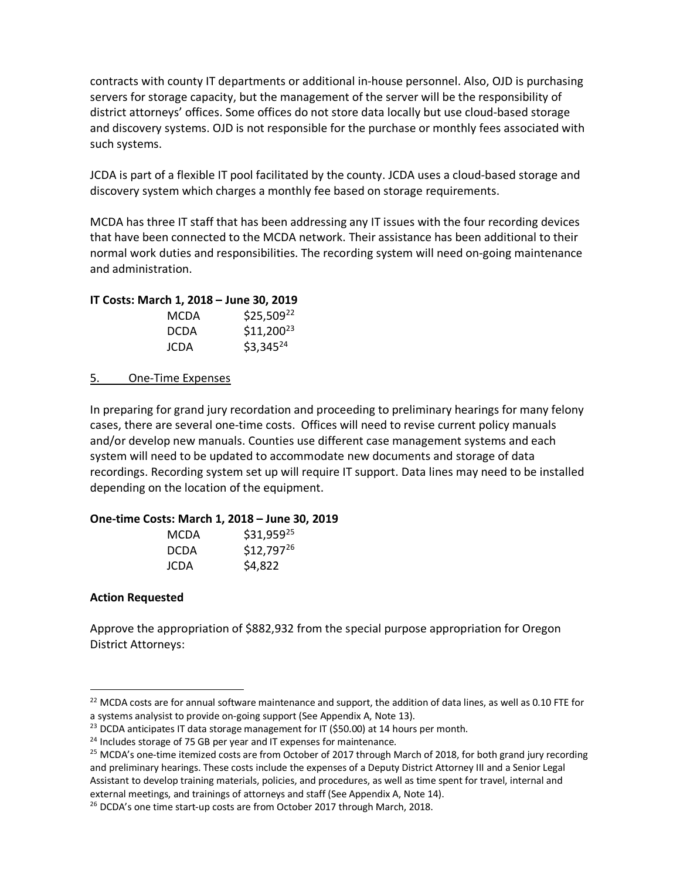contracts with county IT departments or additional in-house personnel. Also, OJD is purchasing servers for storage capacity, but the management of the server will be the responsibility of district attorneys' offices. Some offices do not store data locally but use cloud-based storage and discovery systems. OJD is not responsible for the purchase or monthly fees associated with such systems.

JCDA is part of a flexible IT pool facilitated by the county. JCDA uses a cloud-based storage and discovery system which charges a monthly fee based on storage requirements.

MCDA has three IT staff that has been addressing any IT issues with the four recording devices that have been connected to the MCDA network. Their assistance has been additional to their normal work duties and responsibilities. The recording system will need on-going maintenance and administration.

|  | IT Costs: March 1, 2018 - June 30, 2019 |  |  |  |
|--|-----------------------------------------|--|--|--|
|  |                                         |  |  |  |

| MCDA        | $$25,509^{22}$$ |
|-------------|-----------------|
| <b>DCDA</b> | $$11,200^{23}$$ |
| JCDA        | $$3,345^{24}$$  |

5. One-Time Expenses

In preparing for grand jury recordation and proceeding to preliminary hearings for many felony cases, there are several one-time costs. Offices will need to revise current policy manuals and/or develop new manuals. Counties use different case management systems and each system will need to be updated to accommodate new documents and storage of data recordings. Recording system set up will require IT support. Data lines may need to be installed depending on the location of the equipment.

## **One-time Costs: March 1, 2018 – June 30, 2019**

| MCDA | \$31,95925     |
|------|----------------|
| DCDA | $$12,797^{26}$ |
| JCDA | \$4,822        |

## **Action Requested**

Approve the appropriation of \$882,932 from the special purpose appropriation for Oregon District Attorneys:

 $22$  MCDA costs are for annual software maintenance and support, the addition of data lines, as well as 0.10 FTE for a systems analysist to provide on-going support (See Appendix A, Note 13).

 $23$  DCDA anticipates IT data storage management for IT (\$50.00) at 14 hours per month.

<sup>&</sup>lt;sup>24</sup> Includes storage of 75 GB per year and IT expenses for maintenance.<br><sup>25</sup> MCDA's one-time itemized costs are from October of 2017 through March of 2018, for both grand jury recording and preliminary hearings. These costs include the expenses of a Deputy District Attorney III and a Senior Legal Assistant to develop training materials, policies, and procedures, as well as time spent for travel, internal and external meetings, and trainings of attorneys and staff (See Appendix A, Note 14).

<sup>&</sup>lt;sup>26</sup> DCDA's one time start-up costs are from October 2017 through March, 2018.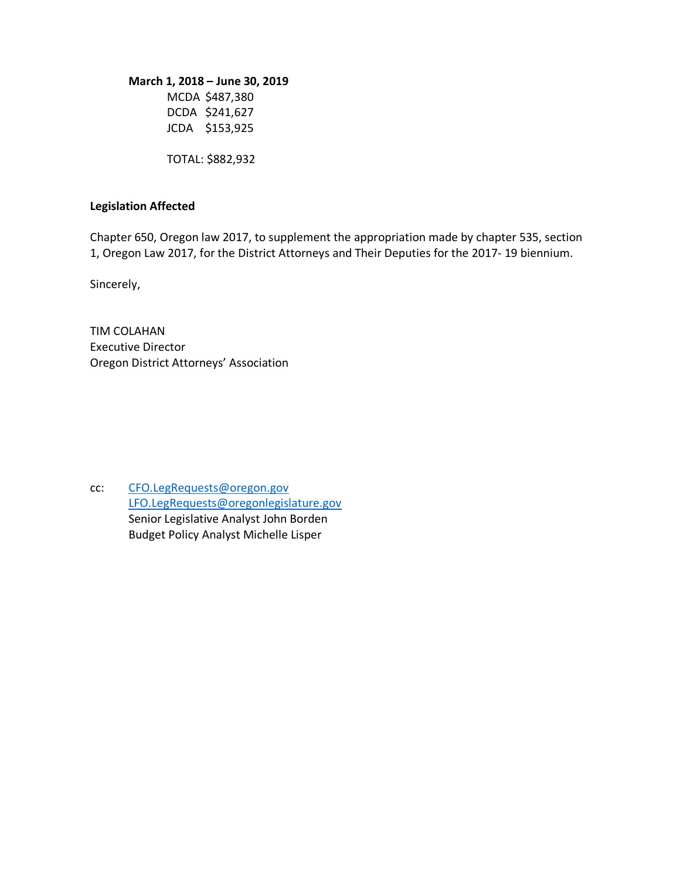#### **March 1, 2018 – June 30, 2019**

MCDA \$487,380 DCDA \$241,627 JCDA \$153,925

TOTAL: \$882,932

#### **Legislation Affected**

Chapter 650, Oregon law 2017, to supplement the appropriation made by chapter 535, section 1, Oregon Law 2017, for the District Attorneys and Their Deputies for the 2017- 19 biennium.

Sincerely,

TIM COLAHAN Executive Director Oregon District Attorneys' Association

cc: CFO.LegRequests@oregon.gov LFO.LegRequests@oregonlegislature.gov Senior Legislative Analyst John Borden Budget Policy Analyst Michelle Lisper